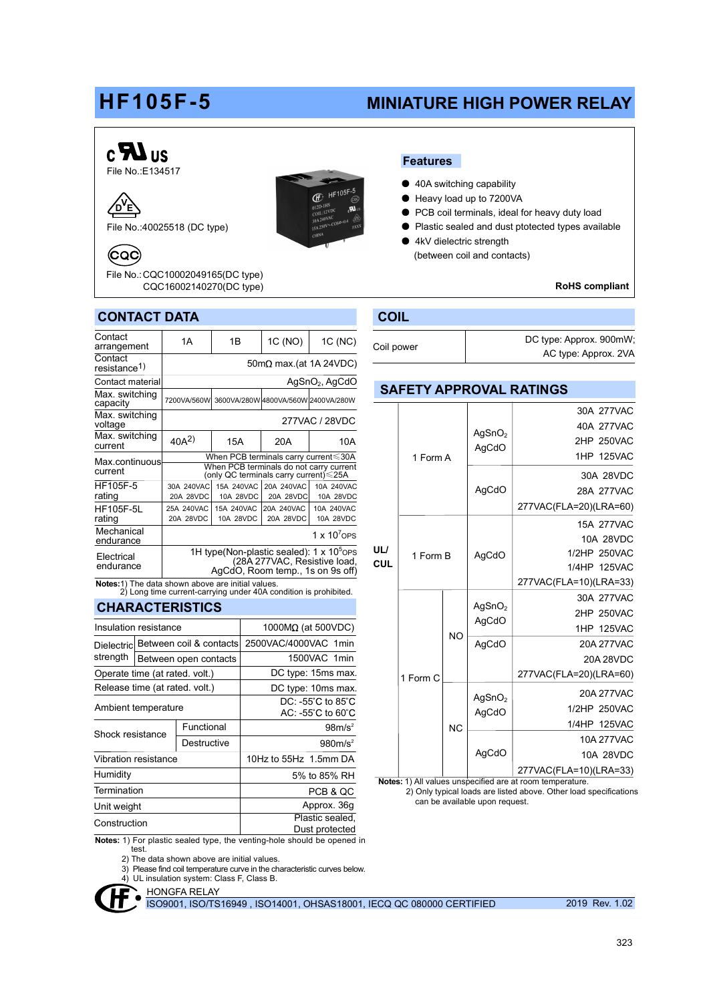# HF105F-5 MINIATURE HIGH POWER RELAY

SAFETY APPROVAL RATINGS

AgSnO<sup>2</sup> AgCdO

AgCdO

AgSnO<sup>2</sup> AgCdO

AgCdO

AgSnO<sup>2</sup> AgCdO

AgCdO

AgCdO

1 Form A

1 Form B

UL/ **CUL** 

 $N<sub>O</sub>$ 

NC

Notes: 1) All values unspecified are at room temperature.

can be available upon request.

2) Only typical loads are listed above. Other load specifications

277VAC(FLA=20)(LRA=60) 1 Form C

#### $c$ **R**Us Features File No.:E134517 ● 40A switching capability  $\overline{\mathbb{E}}$ : HF105F-5 ● Heavy load up to 7200VA  $\sqrt{\mathsf{b}}$ ● PCB coil terminals, ideal for heavy duty load File No.:40025518 (DC type) ● Plastic sealed and dust ptotected types available 4kV dielectric strength Coc. (between coil and contacts)

Coil power

RoHS compliant

15A 277VAC 10A 28VDC 1/2HP 250VAC 1/4HP 125VAC

30A 277VAC 40A 277VAC 2HP 250VAC 1HP 125VAC 30A 28VDC 28A 277VAC

30A 277VAC 2HP 250VAC 1HP 125VAC 20A 277VAC 20A 28VDC

20A 277VAC 1/2HP 250VAC 1/4HP 125VAC 10A 277VAC 10A 28VDC

277VAC(FLA=10)(LRA=33)

277VAC(FLA=20)(LRA=60)

277VAC(FLA=10)(LRA=33)

DC type: Approx. 900mW; AC type: Approx. 2VA

## CONTACT DATA COIL CONTACT DATA

File No.: CQC10002049165(DC type) CQC16002140270(DC type)

| Contact<br>arrangement                                   | 1A                                                                                                                       | 1B                      | 1C (NO)                 | 1C (NC)                             |
|----------------------------------------------------------|--------------------------------------------------------------------------------------------------------------------------|-------------------------|-------------------------|-------------------------------------|
| Contact<br>resistance <sup>1)</sup>                      | $50 \text{m}\Omega$ max.(at 1A 24VDC)                                                                                    |                         |                         |                                     |
| Contact material                                         | $AgSnO2$ , AgCdO                                                                                                         |                         |                         |                                     |
| Max. switching<br>capacity                               | 7200VA/560W                                                                                                              |                         |                         | 3600VA/280W 4800VA/560W 2400VA/280W |
| Max. switching<br>voltage                                | 277VAC / 28VDC                                                                                                           |                         |                         |                                     |
| Max. switching<br>current                                | $40A^2$                                                                                                                  | 15A                     | 20A                     | 10A                                 |
| Max.continuous<br>current                                | When PCB terminals carry current≤30A<br>When PCB terminals do not carry current<br>(only QC terminals carry current)≤25A |                         |                         |                                     |
| HF105F-5<br>rating                                       | 30A 240VAC<br>20A 28VDC                                                                                                  | 15A 240VAC<br>10A 28VDC | 20A 240VAC<br>20A 28VDC | 10A 240VAC<br>10A 28VDC             |
| <b>HF105F-5L</b><br>rating                               | 25A 240VAC<br>20A 28VDC                                                                                                  | 15A 240VAC<br>10A 28VDC | 20A 240VAC<br>20A 28VDC | 10A 240VAC<br>10A 28VDC             |
| Mechanical<br>endurance                                  |                                                                                                                          |                         |                         | 1 $\times$ 10 <sup>7</sup> OPS      |
| Electrical<br>endurance                                  | 1H type(Non-plastic sealed): $1 \times 10^5$ OPS<br>(28A 277VAC, Résistive load,<br>AgCdO, Room temp., 1s on 9s off)     |                         |                         |                                     |
| <b>Notes:</b> 1) The data shown above are initial values |                                                                                                                          |                         |                         |                                     |

Notes:1) The data shown above are initial values. 2) Long time current-carrying under 40A condition is prohibited.

## **CHARACTERISTICS**

| Insulation resistance          |                                |                       | 1000 $M\Omega$ (at 500VDC)                                                 |  |  |  |
|--------------------------------|--------------------------------|-----------------------|----------------------------------------------------------------------------|--|--|--|
| <b>Dielectric</b>              | Between coil & contacts        |                       | 2500VAC/4000VAC 1min                                                       |  |  |  |
| strength                       |                                | Between open contacts | 1500VAC 1min                                                               |  |  |  |
| Operate time (at rated. volt.) |                                |                       | DC type: 15ms max.                                                         |  |  |  |
|                                | Release time (at rated. volt.) |                       | DC type: 10ms max.                                                         |  |  |  |
| Ambient temperature            |                                |                       | $DC: -55^{\circ}C$ to $85^{\circ}C$<br>$AC: -55^{\circ}C$ to $60^{\circ}C$ |  |  |  |
| Shock resistance               |                                | Functional            | 98m/s <sup>2</sup>                                                         |  |  |  |
|                                |                                | Destructive           | 980m/s <sup>2</sup>                                                        |  |  |  |
| Vibration resistance           |                                |                       | 10Hz to 55Hz 1.5mm DA                                                      |  |  |  |
| Humidity                       |                                |                       | 5% to 85% RH                                                               |  |  |  |
| Termination                    |                                |                       | PCB & QC                                                                   |  |  |  |
| Unit weight                    |                                |                       | Approx. 36g                                                                |  |  |  |
| Construction                   |                                |                       | Plastic sealed,                                                            |  |  |  |
|                                |                                |                       | Dust protected                                                             |  |  |  |

Notes: 1) For plastic sealed type, the venting-hole should be opened in test.

2) The data shown above are initial values.

3) Please find coil temperature curve in the characteristic curve

4) UL insulation system: Class F, Class

HONGFA RELAY  $\bullet$ 

ISO9001, ISO/TS16949 , ISO14001, OHSAS18001, IECQ QC 080000 CERTIFIED 2019 Rev. 1.02

| ne characteristic curves below. |  |  |
|---------------------------------|--|--|
| s B                             |  |  |
|                                 |  |  |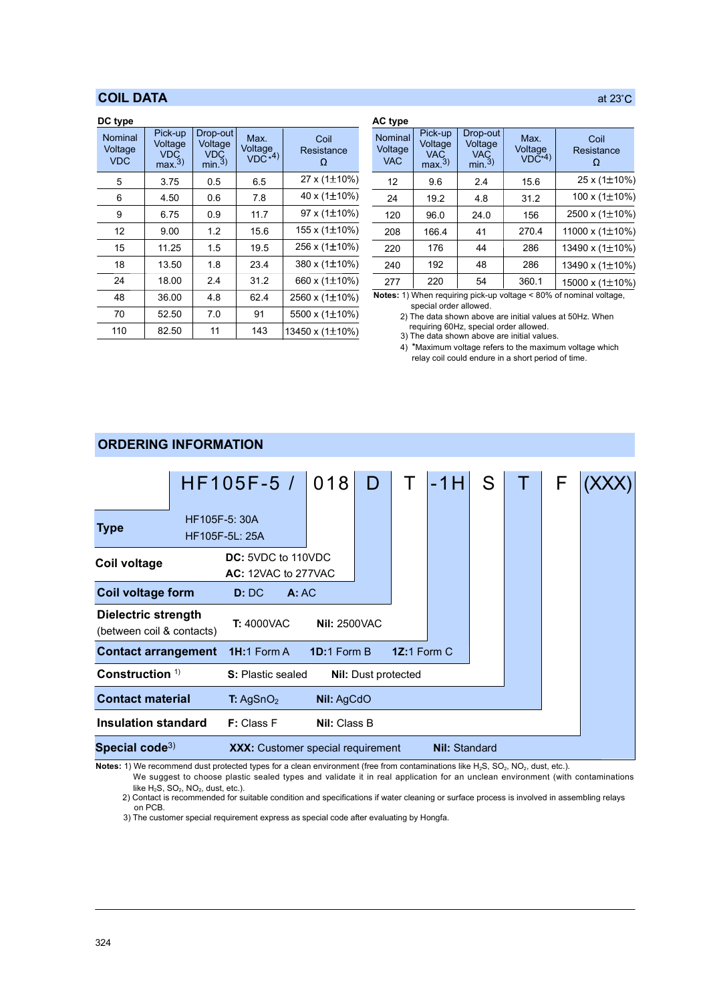## COIL DATA

| DC type                          |                                                      |                                                       |                               |                         | <b>AC</b> type                   |
|----------------------------------|------------------------------------------------------|-------------------------------------------------------|-------------------------------|-------------------------|----------------------------------|
| Nominal<br>Voltage<br><b>VDC</b> | Pick-up<br>Voltage<br><b>VDC</b><br>max <sup>3</sup> | Drop-out<br>Voltage<br><b>VDC</b><br>min <sub>3</sub> | Max.<br>Voltage<br>$VDC^{*4}$ | Coil<br>Resistance<br>Ω | Nominal<br>Voltage<br><b>VAC</b> |
| 5                                | 3.75                                                 | 0.5                                                   | 6.5                           | 27 x (1 $\pm$ 10%)      | 12                               |
| 6                                | 4.50                                                 | 0.6                                                   | 7.8                           | 40 x (1±10%)            | 24                               |
| 9                                | 6.75                                                 | 0.9                                                   | 11.7                          | 97 x (1±10%)            | 120                              |
| 12                               | 9.00                                                 | 1.2                                                   | 15.6                          | 155 x (1±10%)           | 208                              |
| 15                               | 11.25                                                | 1.5                                                   | 19.5                          | 256 x (1±10%)           | 220                              |
| 18                               | 13.50                                                | 1.8                                                   | 23.4                          | 380 x (1±10%)           | 240                              |
| 24                               | 18.00                                                | 2.4                                                   | 31.2                          | 660 x (1±10%)           | 277                              |
| 48                               | 36.00                                                | 4.8                                                   | 62.4                          | 2560 x (1±10%)          | Notes: 1)                        |
| 70                               | 52.50                                                | 7.0                                                   | 91                            | 5500 x (1±10%)          | 2)                               |
| 110                              | 82.50                                                | 11                                                    | 143                           | 13450 x (1±10%)         | 3)                               |

|                |                         | AC type                          |                                                      |                                                       |                               |                         |
|----------------|-------------------------|----------------------------------|------------------------------------------------------|-------------------------------------------------------|-------------------------------|-------------------------|
| $\frac{e}{14}$ | Coil<br>Resistance<br>Ω | Nominal<br>Voltage<br><b>VAC</b> | Pick-up<br>Voltage<br><b>VAC</b><br>max <sup>3</sup> | Drop-out<br>Voltage<br><b>VAC</b><br>min <sup>3</sup> | Max.<br>Voltage<br>$VDC^{*4}$ | Coil<br>Resistance<br>Ω |
|                | 27 x $(1\pm10\%)$       | 12                               | 9.6                                                  | 2.4                                                   | 15.6                          | 25 x (1±10%)            |
|                | 40 x $(1\pm10\%)$       | 24                               | 19.2                                                 | 4.8                                                   | 31.2                          | 100 x $(1\pm10\%)$      |
|                | 97 x (1±10%)            | 120                              | 96.0                                                 | 24.0                                                  | 156                           | 2500 x $(1\pm10\%)$     |
|                | 155 x $(1\pm10\%)$      | 208                              | 166.4                                                | 41                                                    | 270.4                         | 11000 x $(1\pm10\%)$    |
|                | 256 x (1±10%)           | 220                              | 176                                                  | 44                                                    | 286                           | 13490 x (1±10%)         |
|                | 380 x (1±10%)           | 240                              | 192                                                  | 48                                                    | 286                           | 13490 x $(1\pm10\%)$    |
|                | 660 x (1±10%)           | 277                              | 220                                                  | 54                                                    | 360.1                         | 15000 x (1±10%)         |

Notes: 1) When requiring pick-up voltage < 80% of nominal voltage, special order allowed.

2) The data shown above are initial values at 50Hz. When requiring 60Hz, special order allowed.

3) The data shown above are initial values.

4) \*Maximum voltage refers to the maximum voltage which relay coil could endure in a short period of time.

### T: 4000VAC Nil: 2500VAC Construction<sup>1)</sup> **Insulation standard** F: Class F Nil: Class B Special code<sup>3)</sup> Dielectric strength (between coil & contacts) Coil voltage form D: DC A: AC HF105F-5: 30A HF105F-5L: 25A  $HF105F-5 / 018$  D T -1H DC: 5VDC to 110VDC AC: 12VAC to 277VAC S S: Plastic sealed Nil: Dust protected Contact arrangement 1H:1 Form A 1D:1 Form B 1Z:1 Form C  $T$   $F$   $(XXX)$ **Type** F Coil voltage XXX: Customer special requirement Nil: Standard Contact material T: AgSnO<sub>2</sub> Nil: AgCdO

Notes: 1) We recommend dust protected types for a clean environment (free from contaminations like H<sub>2</sub>S, SO<sub>2</sub>, NO<sub>2</sub>, dust, etc.).

We suggest to choose plastic sealed types and validate it in real application for an unclean environment (with contaminations like  $H_2S$ ,  $SO_2$ ,  $NO_2$ , dust, etc.).

2) Contact is recommended for suitable condition and specifications if water cleaning or surface process is involved in assembling relays on PCB.

3) The customer special requirement express as special code after evaluating by Hongfa.

## ORDERING INFORMATION

## at  $23^{\circ}$ C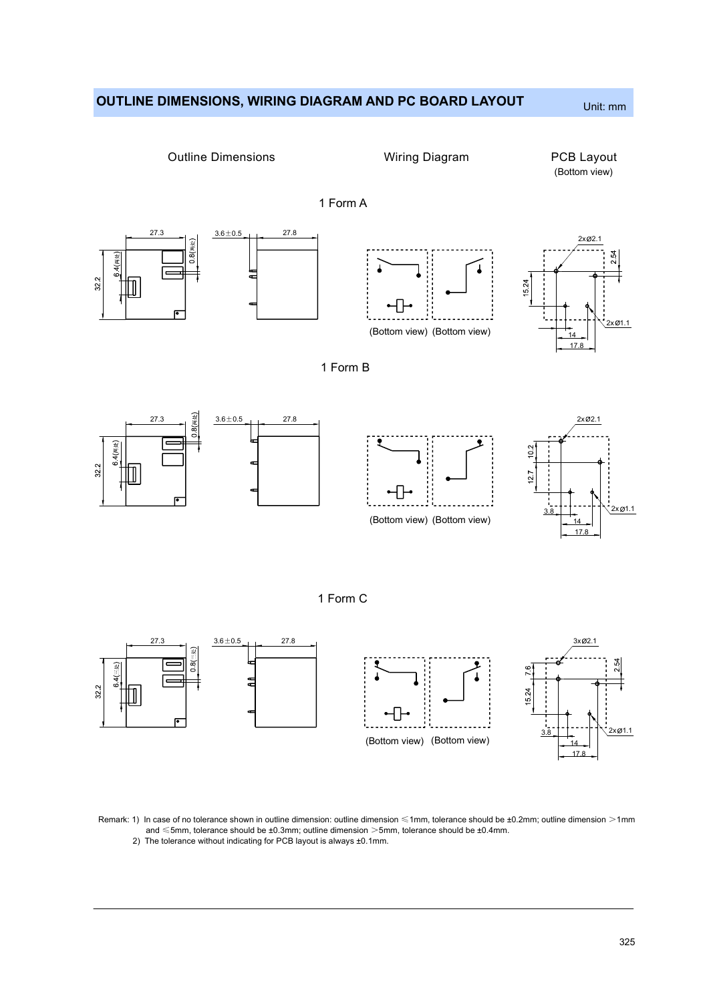## OUTLINE DIMENSIONS, WIRING DIAGRAM AND PC BOARD LAYOUT Unit: mm



Remark: 1) In case of no tolerance shown in outline dimension: outline dimension ≤1mm, tolerance should be ±0.2mm; outline dimension >1mm and ≤5mm, tolerance should be ±0.3mm; outline dimension >5mm, tolerance should be ±0.4mm.

2) The tolerance without indicating for PCB layout is always ±0.1mm.